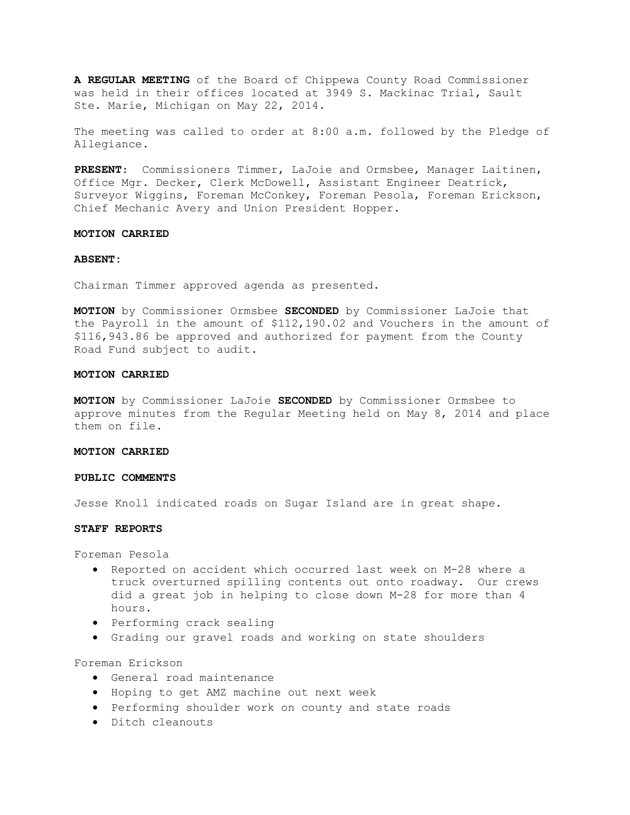**A REGULAR MEETING** of the Board of Chippewa County Road Commissioner was held in their offices located at 3949 S. Mackinac Trial, Sault Ste. Marie, Michigan on May 22, 2014.

The meeting was called to order at 8:00 a.m. followed by the Pledge of Allegiance.

**PRESENT**: Commissioners Timmer, LaJoie and Ormsbee, Manager Laitinen, Office Mgr. Decker, Clerk McDowell, Assistant Engineer Deatrick, Surveyor Wiggins, Foreman McConkey, Foreman Pesola, Foreman Erickson, Chief Mechanic Avery and Union President Hopper.

### **MOTION CARRIED**

### **ABSENT:**

Chairman Timmer approved agenda as presented.

**MOTION** by Commissioner Ormsbee **SECONDED** by Commissioner LaJoie that the Payroll in the amount of \$112,190.02 and Vouchers in the amount of \$116,943.86 be approved and authorized for payment from the County Road Fund subject to audit.

### **MOTION CARRIED**

**MOTION** by Commissioner LaJoie **SECONDED** by Commissioner Ormsbee to approve minutes from the Regular Meeting held on May 8, 2014 and place them on file.

## **MOTION CARRIED**

### **PUBLIC COMMENTS**

Jesse Knoll indicated roads on Sugar Island are in great shape.

## **STAFF REPORTS**

Foreman Pesola

- · Reported on accident which occurred last week on M-28 where a truck overturned spilling contents out onto roadway. Our crews did a great job in helping to close down M-28 for more than 4 hours.
- · Performing crack sealing
- · Grading our gravel roads and working on state shoulders

Foreman Erickson

- · General road maintenance
- · Hoping to get AMZ machine out next week
- · Performing shoulder work on county and state roads
- · Ditch cleanouts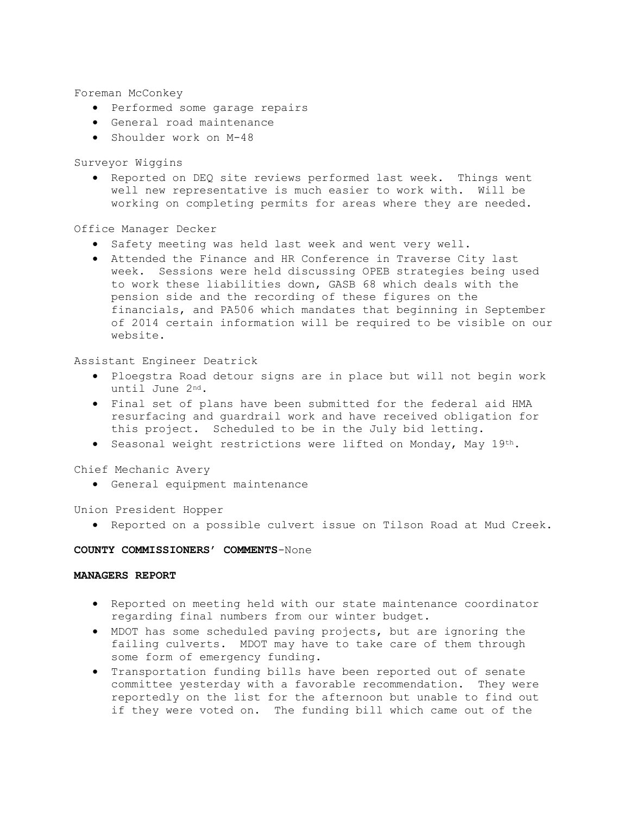Foreman McConkey

- · Performed some garage repairs
- · General road maintenance
- · Shoulder work on M-48

Surveyor Wiggins

· Reported on DEQ site reviews performed last week. Things went well new representative is much easier to work with. Will be working on completing permits for areas where they are needed.

## Office Manager Decker

- · Safety meeting was held last week and went very well.
- · Attended the Finance and HR Conference in Traverse City last week. Sessions were held discussing OPEB strategies being used to work these liabilities down, GASB 68 which deals with the pension side and the recording of these figures on the financials, and PA506 which mandates that beginning in September of 2014 certain information will be required to be visible on our website.

Assistant Engineer Deatrick

- · Ploegstra Road detour signs are in place but will not begin work until June 2nd.
- · Final set of plans have been submitted for the federal aid HMA resurfacing and guardrail work and have received obligation for this project. Scheduled to be in the July bid letting.
- · Seasonal weight restrictions were lifted on Monday, May 19th.

Chief Mechanic Avery

· General equipment maintenance

Union President Hopper

· Reported on a possible culvert issue on Tilson Road at Mud Creek.

## **COUNTY COMMISSIONERS' COMMENTS**-None

## **MANAGERS REPORT**

- · Reported on meeting held with our state maintenance coordinator regarding final numbers from our winter budget.
- · MDOT has some scheduled paving projects, but are ignoring the failing culverts. MDOT may have to take care of them through some form of emergency funding.
- · Transportation funding bills have been reported out of senate committee yesterday with a favorable recommendation. They were reportedly on the list for the afternoon but unable to find out if they were voted on. The funding bill which came out of the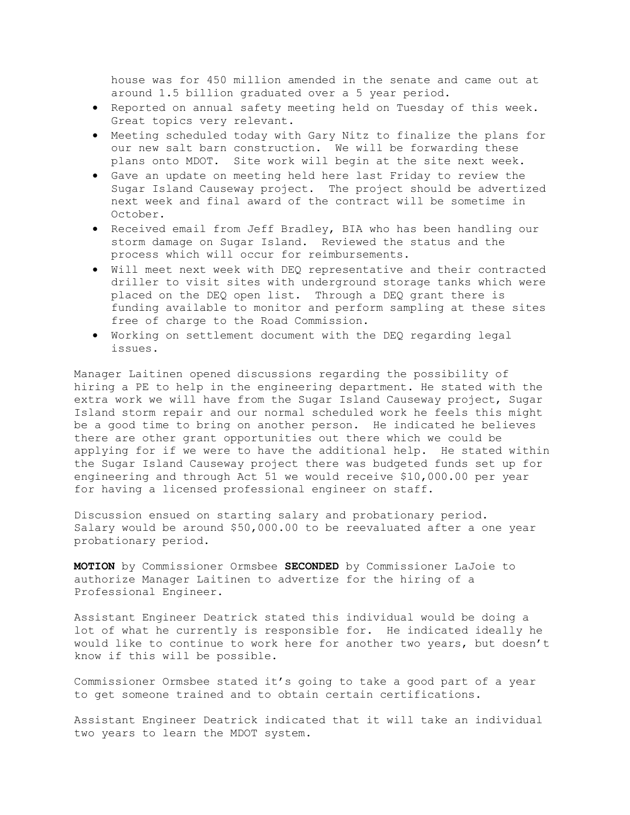house was for 450 million amended in the senate and came out at around 1.5 billion graduated over a 5 year period.

- · Reported on annual safety meeting held on Tuesday of this week. Great topics very relevant.
- · Meeting scheduled today with Gary Nitz to finalize the plans for our new salt barn construction. We will be forwarding these plans onto MDOT. Site work will begin at the site next week.
- · Gave an update on meeting held here last Friday to review the Sugar Island Causeway project. The project should be advertized next week and final award of the contract will be sometime in October.
- · Received email from Jeff Bradley, BIA who has been handling our storm damage on Sugar Island. Reviewed the status and the process which will occur for reimbursements.
- · Will meet next week with DEQ representative and their contracted driller to visit sites with underground storage tanks which were placed on the DEQ open list. Through a DEQ grant there is funding available to monitor and perform sampling at these sites free of charge to the Road Commission.
- · Working on settlement document with the DEQ regarding legal issues.

Manager Laitinen opened discussions regarding the possibility of hiring a PE to help in the engineering department. He stated with the extra work we will have from the Sugar Island Causeway project, Sugar Island storm repair and our normal scheduled work he feels this might be a good time to bring on another person. He indicated he believes there are other grant opportunities out there which we could be applying for if we were to have the additional help. He stated within the Sugar Island Causeway project there was budgeted funds set up for engineering and through Act 51 we would receive \$10,000.00 per year for having a licensed professional engineer on staff.

Discussion ensued on starting salary and probationary period. Salary would be around \$50,000.00 to be reevaluated after a one year probationary period.

**MOTION** by Commissioner Ormsbee **SECONDED** by Commissioner LaJoie to authorize Manager Laitinen to advertize for the hiring of a Professional Engineer.

Assistant Engineer Deatrick stated this individual would be doing a lot of what he currently is responsible for. He indicated ideally he would like to continue to work here for another two years, but doesn't know if this will be possible.

Commissioner Ormsbee stated it's going to take a good part of a year to get someone trained and to obtain certain certifications.

Assistant Engineer Deatrick indicated that it will take an individual two years to learn the MDOT system.